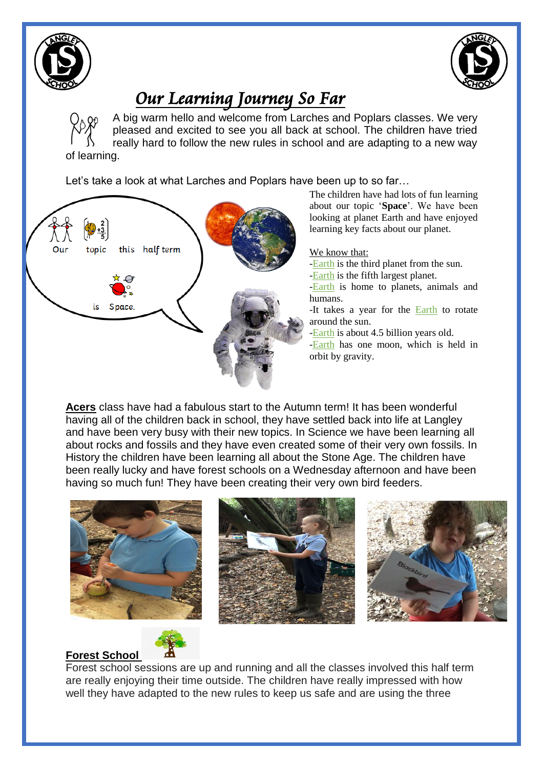



# *Our Learning Journey So Far*

A big warm hello and welcome from Larches and Poplars classes. We very pleased and excited to see you all back at school. The children have tried really hard to follow the new rules in school and are adapting to a new way of learning.

Let's take a look at what Larches and Poplars have been up to so far…



**Acers** class have had a fabulous start to the Autumn term! It has been wonderful having all of the children back in school, they have settled back into life at Langley and have been very busy with their new topics. In Science we have been learning all about rocks and fossils and they have even created some of their very own fossils. In History the children have been learning all about the Stone Age. The children have been really lucky and have forest schools on a Wednesday afternoon and have been having so much fun! They have been creating their very own bird feeders.







## **Forest School**

Forest school sessions are up and running and all the classes involved this half term are really enjoying their time outside. The children have really impressed with how well they have adapted to the new rules to keep us safe and are using the three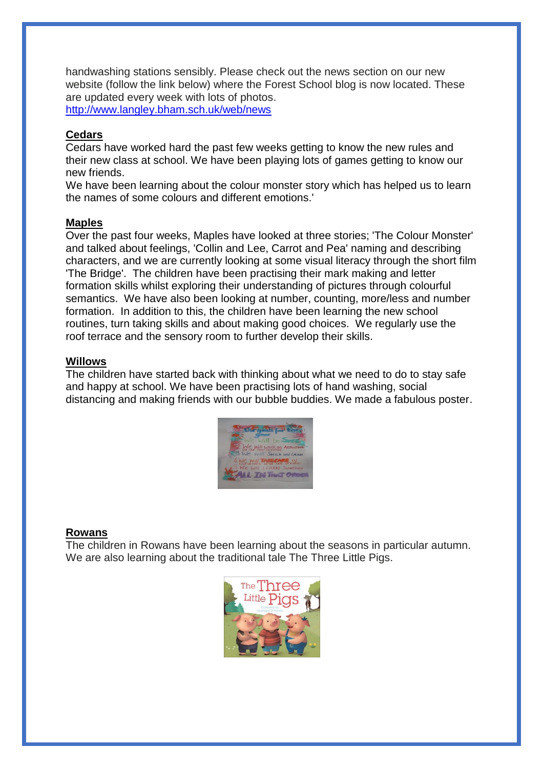handwashing stations sensibly. Please check out the news section on our new website (follow the link below) where the Forest School blog is now located. These are updated every week with lots of photos. http://www.langley.bham.sch.uk/web/news

#### **Cedars**

Cedars have worked hard the past few weeks getting to know the new rules and their new class at school. We have been playing lots of games getting to know our new friends.

We have been learning about the colour monster story which has helped us to learn the names of some colours and different emotions.'

#### **Maples**

Over the past four weeks, Maples have looked at three stories; 'The Colour Monster' and talked about feelings, 'Collin and Lee, Carrot and Pea' naming and describing characters, and we are currently looking at some visual literacy through the short film 'The Bridge'. The children have been practising their mark making and letter formation skills whilst exploring their understanding of pictures through colourful semantics. We have also been looking at number, counting, more/less and number formation. In addition to this, the children have been learning the new school routines, turn taking skills and about making good choices. We regularly use the roof terrace and the sensory room to further develop their skills.

#### **Willows**

The children have started back with thinking about what we need to do to stay safe and happy at school. We have been practising lots of hand washing, social distancing and making friends with our bubble buddies. We made a fabulous poster.



#### **Rowans**

The children in Rowans have been learning about the seasons in particular autumn. We are also learning about the traditional tale The Three Little Pigs.